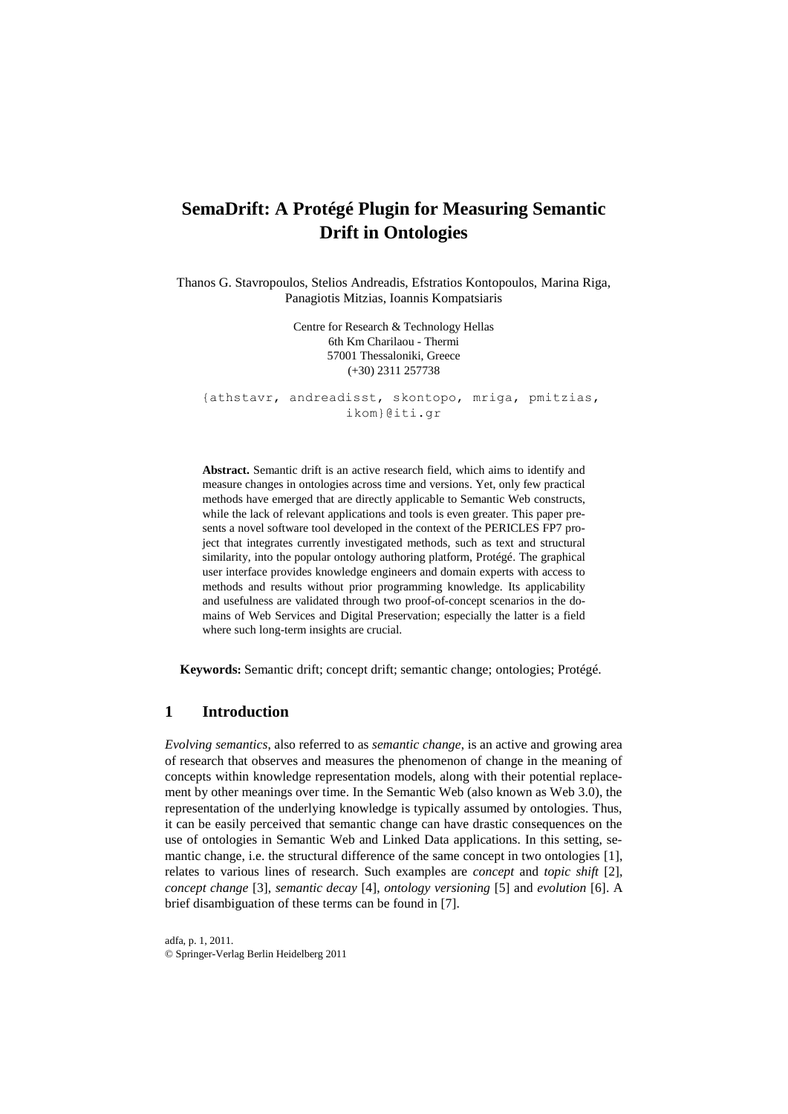# **SemaDrift: A Protégé Plugin for Measuring Semantic Drift in Ontologies**

Thanos G. Stavropoulos, Stelios Andreadis, Efstratios Kontopoulos, Marina Riga, Panagiotis Mitzias, Ioannis Kompatsiaris

> Centre for Research & Technology Hellas 6th Km Charilaou - Thermi 57001 Thessaloniki, Greece (+30) 2311 257738

{athstavr, andreadisst, skontopo, mriga, pmitzias, ikom}@iti.gr

**Abstract.** Semantic drift is an active research field, which aims to identify and measure changes in ontologies across time and versions. Yet, only few practical methods have emerged that are directly applicable to Semantic Web constructs, while the lack of relevant applications and tools is even greater. This paper presents a novel software tool developed in the context of the PERICLES FP7 project that integrates currently investigated methods, such as text and structural similarity, into the popular ontology authoring platform, Protégé. The graphical user interface provides knowledge engineers and domain experts with access to methods and results without prior programming knowledge. Its applicability and usefulness are validated through two proof-of-concept scenarios in the domains of Web Services and Digital Preservation; especially the latter is a field where such long-term insights are crucial.

**Keywords:** Semantic drift; concept drift; semantic change; ontologies; Protégé.

### **1 Introduction**

*Evolving semantics*, also referred to as *semantic change*, is an active and growing area of research that observes and measures the phenomenon of change in the meaning of concepts within knowledge representation models, along with their potential replacement by other meanings over time. In the Semantic Web (also known as Web 3.0), the representation of the underlying knowledge is typically assumed by ontologies. Thus, it can be easily perceived that semantic change can have drastic consequences on the use of ontologies in Semantic Web and Linked Data applications. In this setting, semantic change, i.e. the structural difference of the same concept in two ontologies [1], relates to various lines of research. Such examples are *concept* and *topic shift* [2], *concept change* [3], *semantic decay* [4], *ontology versioning* [5] and *evolution* [6]. A brief disambiguation of these terms can be found in [7].

adfa, p. 1, 2011. © Springer-Verlag Berlin Heidelberg 2011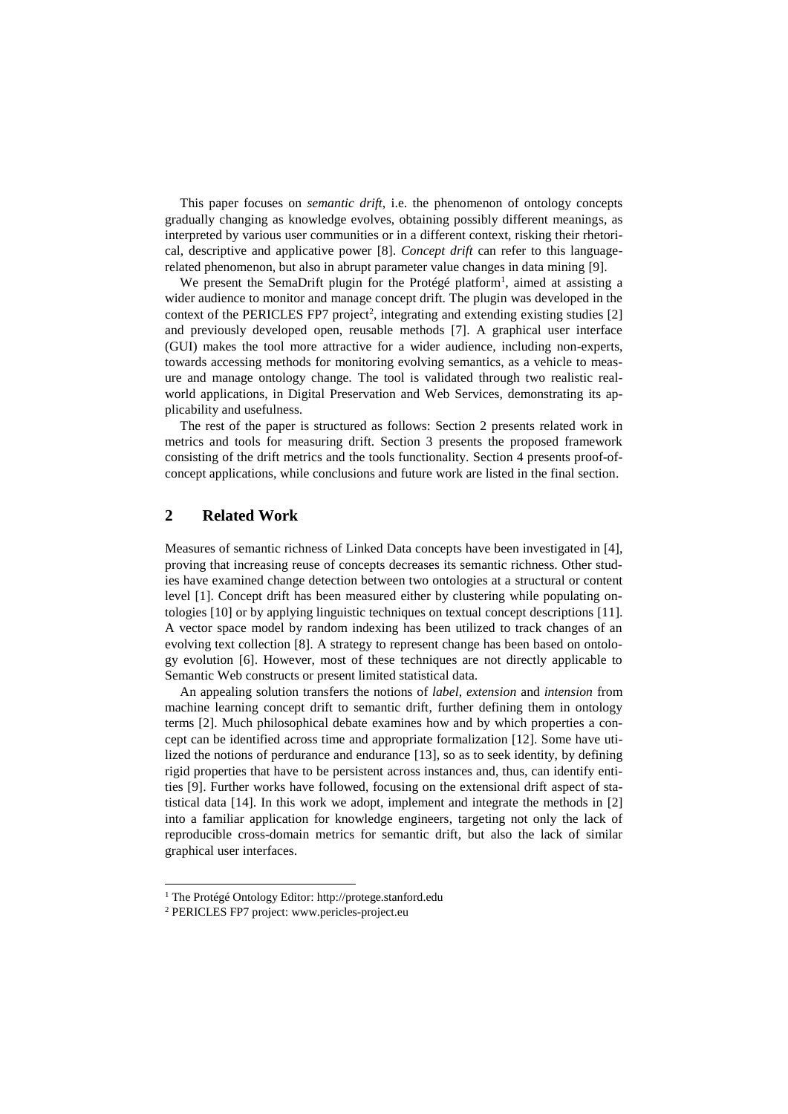This paper focuses on *semantic drift*, i.e. the phenomenon of ontology concepts gradually changing as knowledge evolves, obtaining possibly different meanings, as interpreted by various user communities or in a different context, risking their rhetorical, descriptive and applicative power [8]. *Concept drift* can refer to this languagerelated phenomenon, but also in abrupt parameter value changes in data mining [9].

We present the SemaDrift plugin for the Protégé platform<sup>1</sup>, aimed at assisting a wider audience to monitor and manage concept drift. The plugin was developed in the context of the PERICLES FP7 project<sup>2</sup>, integrating and extending existing studies [2] and previously developed open, reusable methods [7]. A graphical user interface (GUI) makes the tool more attractive for a wider audience, including non-experts, towards accessing methods for monitoring evolving semantics, as a vehicle to measure and manage ontology change. The tool is validated through two realistic realworld applications, in Digital Preservation and Web Services, demonstrating its applicability and usefulness.

The rest of the paper is structured as follows: Section 2 presents related work in metrics and tools for measuring drift. Section 3 presents the proposed framework consisting of the drift metrics and the tools functionality. Section 4 presents proof-ofconcept applications, while conclusions and future work are listed in the final section.

## **2 Related Work**

Measures of semantic richness of Linked Data concepts have been investigated in [4], proving that increasing reuse of concepts decreases its semantic richness. Other studies have examined change detection between two ontologies at a structural or content level [1]. Concept drift has been measured either by clustering while populating ontologies [10] or by applying linguistic techniques on textual concept descriptions [11]. A vector space model by random indexing has been utilized to track changes of an evolving text collection [8]. A strategy to represent change has been based on ontology evolution [6]. However, most of these techniques are not directly applicable to Semantic Web constructs or present limited statistical data.

An appealing solution transfers the notions of *label*, *extension* and *intension* from machine learning concept drift to semantic drift, further defining them in ontology terms [2]. Much philosophical debate examines how and by which properties a concept can be identified across time and appropriate formalization [12]. Some have utilized the notions of perdurance and endurance [13], so as to seek identity, by defining rigid properties that have to be persistent across instances and, thus, can identify entities [9]. Further works have followed, focusing on the extensional drift aspect of statistical data [14]. In this work we adopt, implement and integrate the methods in [2] into a familiar application for knowledge engineers, targeting not only the lack of reproducible cross-domain metrics for semantic drift, but also the lack of similar graphical user interfaces.

<sup>1</sup> The Protégé Ontology Editor: http://protege.stanford.edu

<sup>2</sup> PERICLES FP7 project: www.pericles-project.eu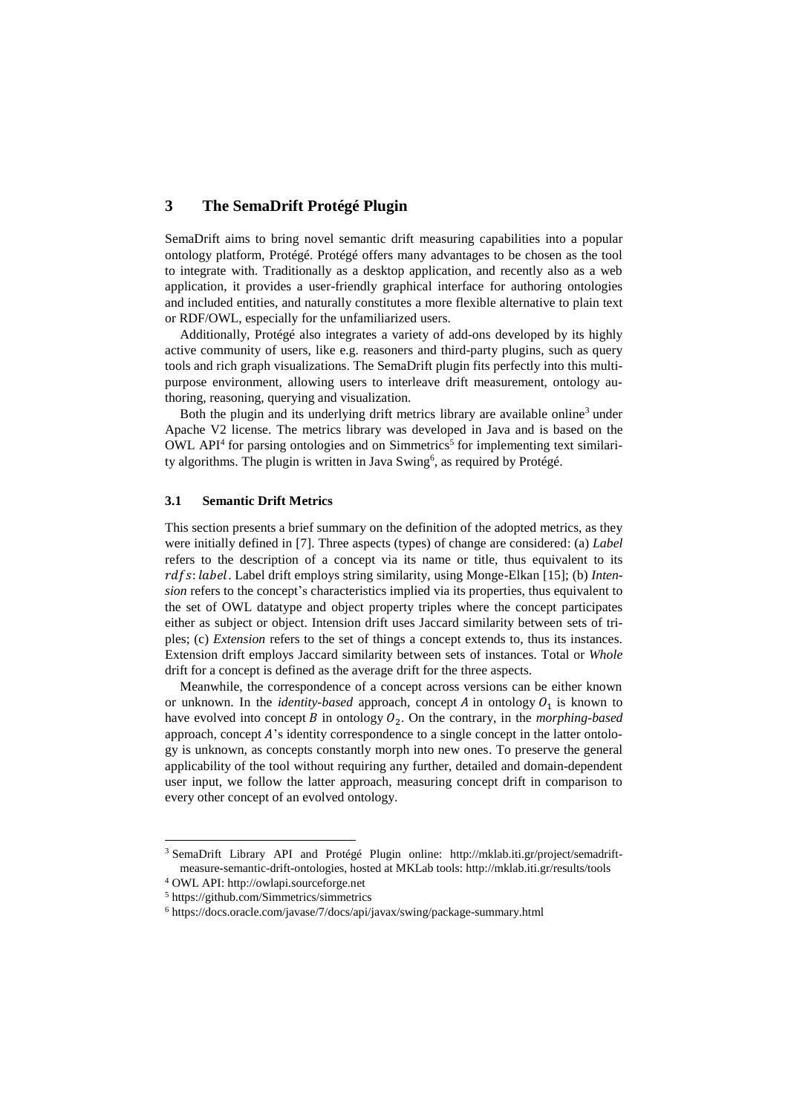## **3 The SemaDrift Protégé Plugin**

SemaDrift aims to bring novel semantic drift measuring capabilities into a popular ontology platform, Protégé. Protégé offers many advantages to be chosen as the tool to integrate with. Traditionally as a desktop application, and recently also as a web application, it provides a user-friendly graphical interface for authoring ontologies and included entities, and naturally constitutes a more flexible alternative to plain text or RDF/OWL, especially for the unfamiliarized users.

Additionally, Protégé also integrates a variety of add-ons developed by its highly active community of users, like e.g. reasoners and third-party plugins, such as query tools and rich graph visualizations. The SemaDrift plugin fits perfectly into this multipurpose environment, allowing users to interleave drift measurement, ontology authoring, reasoning, querying and visualization.

Both the plugin and its underlying drift metrics library are available online<sup>3</sup> under Apache V2 license. The metrics library was developed in Java and is based on the OWL API<sup>4</sup> for parsing ontologies and on Simmetrics<sup>5</sup> for implementing text similarity algorithms. The plugin is written in Java Swing<sup>6</sup>, as required by Protégé.

#### **3.1 Semantic Drift Metrics**

This section presents a brief summary on the definition of the adopted metrics, as they were initially defined in [7]. Three aspects (types) of change are considered: (a) *Label* refers to the description of a concept via its name or title, thus equivalent to its : . Label drift employs string similarity, using Monge-Elkan [15]; (b) *Intension* refers to the concept's characteristics implied via its properties, thus equivalent to the set of OWL datatype and object property triples where the concept participates either as subject or object. Intension drift uses Jaccard similarity between sets of triples; (c) *Extension* refers to the set of things a concept extends to, thus its instances. Extension drift employs Jaccard similarity between sets of instances. Total or *Whole* drift for a concept is defined as the average drift for the three aspects.

Meanwhile, the correspondence of a concept across versions can be either known or unknown. In the *identity-based* approach, concept  $A$  in ontology  $O_1$  is known to have evolved into concept  $B$  in ontology  $O_2$ . On the contrary, in the *morphing-based* approach, concept  $A$ 's identity correspondence to a single concept in the latter ontology is unknown, as concepts constantly morph into new ones. To preserve the general applicability of the tool without requiring any further, detailed and domain-dependent user input, we follow the latter approach, measuring concept drift in comparison to every other concept of an evolved ontology.

<sup>3</sup> SemaDrift Library API and Protégé Plugin online: http://mklab.iti.gr/project/semadriftmeasure-semantic-drift-ontologies, hosted at MKLab tools: http://mklab.iti.gr/results/tools

<sup>4</sup> OWL API: http://owlapi.sourceforge.net

<sup>5</sup> https://github.com/Simmetrics/simmetrics

<sup>6</sup> https://docs.oracle.com/javase/7/docs/api/javax/swing/package-summary.html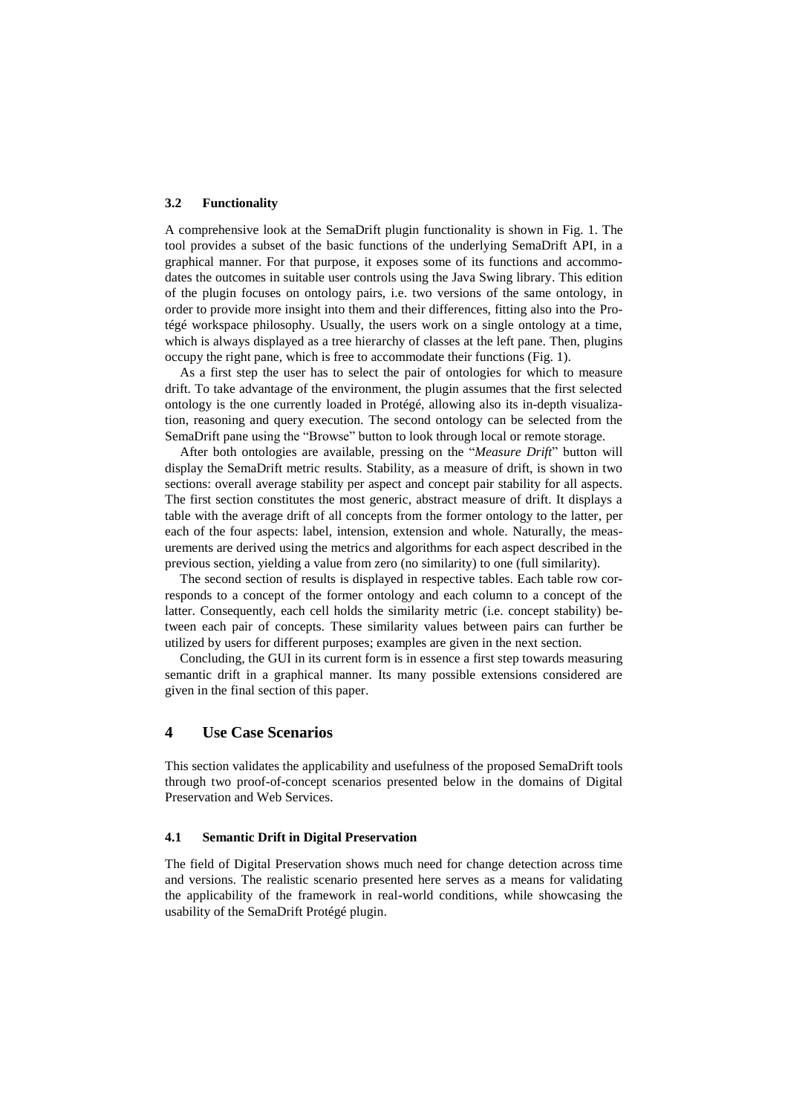#### **3.2 Functionality**

A comprehensive look at the SemaDrift plugin functionality is shown in [Fig. 1.](#page-4-0) The tool provides a subset of the basic functions of the underlying SemaDrift API, in a graphical manner. For that purpose, it exposes some of its functions and accommodates the outcomes in suitable user controls using the Java Swing library. This edition of the plugin focuses on ontology pairs, i.e. two versions of the same ontology, in order to provide more insight into them and their differences, fitting also into the Protégé workspace philosophy. Usually, the users work on a single ontology at a time, which is always displayed as a tree hierarchy of classes at the left pane. Then, plugins occupy the right pane, which is free to accommodate their functions [\(Fig. 1\)](#page-4-0).

As a first step the user has to select the pair of ontologies for which to measure drift. To take advantage of the environment, the plugin assumes that the first selected ontology is the one currently loaded in Protégé, allowing also its in-depth visualization, reasoning and query execution. The second ontology can be selected from the SemaDrift pane using the "Browse" button to look through local or remote storage.

After both ontologies are available, pressing on the "*Measure Drift*" button will display the SemaDrift metric results. Stability, as a measure of drift, is shown in two sections: overall average stability per aspect and concept pair stability for all aspects. The first section constitutes the most generic, abstract measure of drift. It displays a table with the average drift of all concepts from the former ontology to the latter, per each of the four aspects: label, intension, extension and whole. Naturally, the measurements are derived using the metrics and algorithms for each aspect described in the previous section, yielding a value from zero (no similarity) to one (full similarity).

The second section of results is displayed in respective tables. Each table row corresponds to a concept of the former ontology and each column to a concept of the latter. Consequently, each cell holds the similarity metric (i.e. concept stability) between each pair of concepts. These similarity values between pairs can further be utilized by users for different purposes; examples are given in the next section.

Concluding, the GUI in its current form is in essence a first step towards measuring semantic drift in a graphical manner. Its many possible extensions considered are given in the final section of this paper.

## **4 Use Case Scenarios**

This section validates the applicability and usefulness of the proposed SemaDrift tools through two proof-of-concept scenarios presented below in the domains of Digital Preservation and Web Services.

#### **4.1 Semantic Drift in Digital Preservation**

The field of Digital Preservation shows much need for change detection across time and versions. The realistic scenario presented here serves as a means for validating the applicability of the framework in real-world conditions, while showcasing the usability of the SemaDrift Protégé plugin.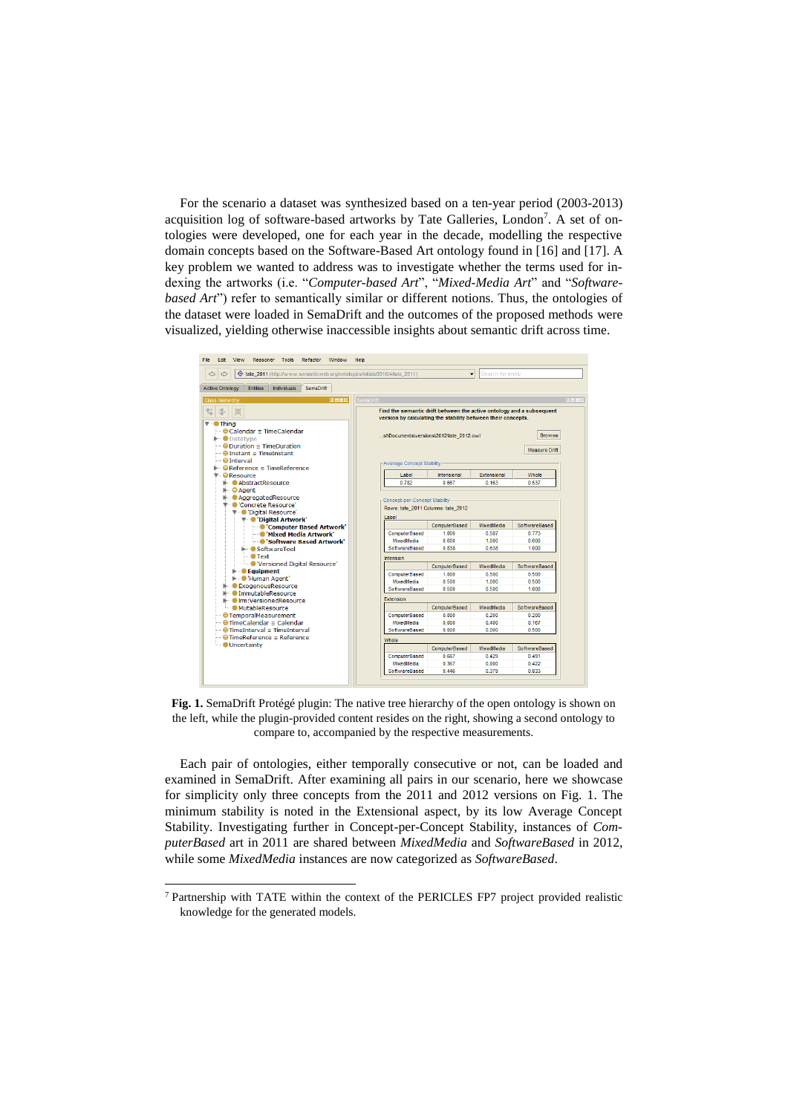For the scenario a dataset was synthesized based on a ten-year period (2003-2013) acquisition log of software-based artworks by Tate Galleries, London<sup>7</sup>. A set of ontologies were developed, one for each year in the decade, modelling the respective domain concepts based on the Software-Based Art ontology found in [16] and [17]. A key problem we wanted to address was to investigate whether the terms used for indexing the artworks (i.e. "*Computer-based Art*", "*Mixed-Media Art*" and "*Softwarebased Art*") refer to semantically similar or different notions. Thus, the ontologies of the dataset were loaded in SemaDrift and the outcomes of the proposed methods were visualized, yielding otherwise inaccessible insights about semantic drift across time.



<span id="page-4-0"></span>**Fig. 1.** SemaDrift Protégé plugin: The native tree hierarchy of the open ontology is shown on the left, while the plugin-provided content resides on the right, showing a second ontology to compare to, accompanied by the respective measurements.

Each pair of ontologies, either temporally consecutive or not, can be loaded and examined in SemaDrift. After examining all pairs in our scenario, here we showcase for simplicity only three concepts from the 2011 and 2012 versions on [Fig. 1.](#page-4-0) The minimum stability is noted in the Extensional aspect, by its low Average Concept Stability. Investigating further in Concept-per-Concept Stability, instances of *ComputerBased* art in 2011 are shared between *MixedMedia* and *SoftwareBased* in 2012, while some *MixedMedia* instances are now categorized as *SoftwareBased*.

<sup>7</sup> Partnership with TATE within the context of the PERICLES FP7 project provided realistic knowledge for the generated models.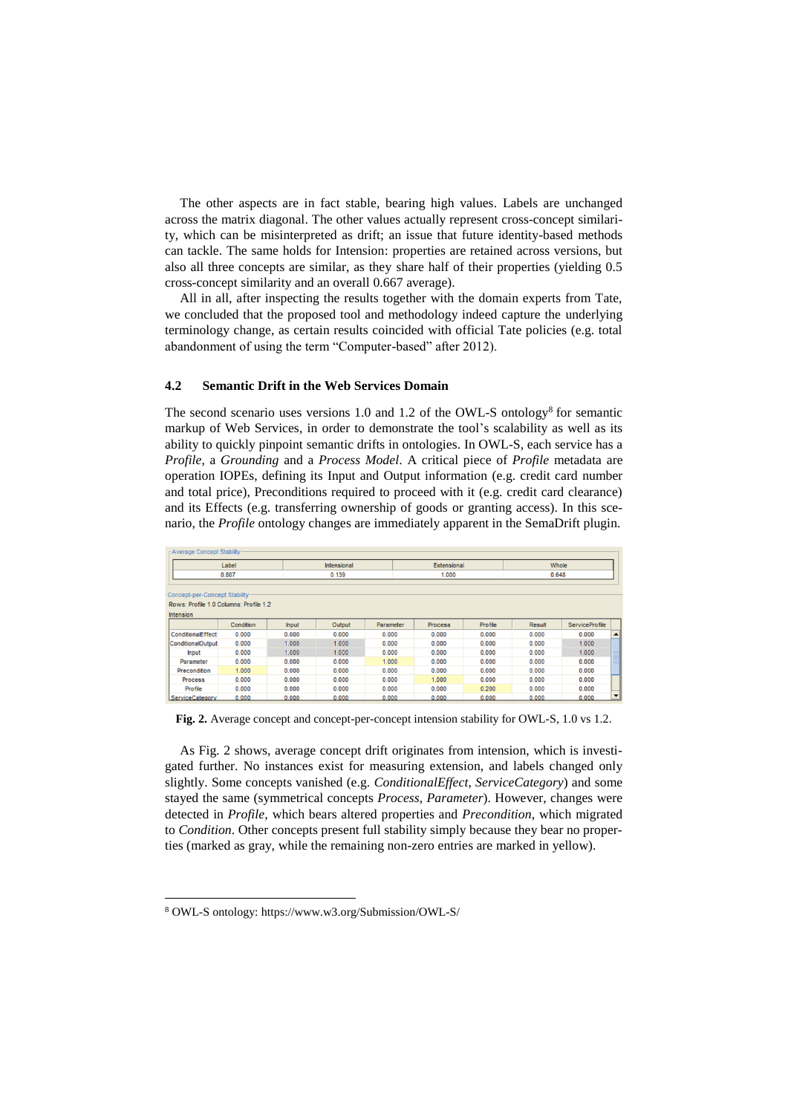The other aspects are in fact stable, bearing high values. Labels are unchanged across the matrix diagonal. The other values actually represent cross-concept similarity, which can be misinterpreted as drift; an issue that future identity-based methods can tackle. The same holds for Intension: properties are retained across versions, but also all three concepts are similar, as they share half of their properties (yielding 0.5 cross-concept similarity and an overall 0.667 average).

All in all, after inspecting the results together with the domain experts from Tate, we concluded that the proposed tool and methodology indeed capture the underlying terminology change, as certain results coincided with official Tate policies (e.g. total abandonment of using the term "Computer-based" after 2012).

#### **4.2 Semantic Drift in the Web Services Domain**

The second scenario uses versions 1.0 and 1.2 of the OWL-S ontology<sup>8</sup> for semantic markup of Web Services, in order to demonstrate the tool's scalability as well as its ability to quickly pinpoint semantic drifts in ontologies. In OWL-S, each service has a *Profile*, a *Grounding* and a *Process Model*. A critical piece of *Profile* metadata are operation IOPEs, defining its Input and Output information (e.g. credit card number and total price), Preconditions required to proceed with it (e.g. credit card clearance) and its Effects (e.g. transferring ownership of goods or granting access). In this scenario, the *Profile* ontology changes are immediately apparent in the SemaDrift plugin.

| Average Concept Stability      |                                        |                      |        |           |                |         |                |                       |   |
|--------------------------------|----------------------------------------|----------------------|--------|-----------|----------------|---------|----------------|-----------------------|---|
| Label<br>0.807                 |                                        | Intensional<br>0.139 |        |           | Extensional    |         | Whole<br>0.648 |                       |   |
|                                |                                        |                      |        |           | 1.000          |         |                |                       |   |
|                                |                                        |                      |        |           |                |         |                |                       |   |
| Concept-per-Concept Stability- |                                        |                      |        |           |                |         |                |                       |   |
|                                | Rows: Profile 1.0 Columns: Profile 1.2 |                      |        |           |                |         |                |                       |   |
| <b>Intension</b>               |                                        |                      |        |           |                |         |                |                       |   |
|                                | Condition                              | <b>Input</b>         | Output | Parameter | <b>Process</b> | Profile | Result         | <b>ServiceProfile</b> |   |
| <b>ConditionalEffect</b>       | 0.000                                  | 0.000                | 0.000  | 0.000     | 0.000          | 0.000   | 0.000          | 0.000                 | ▲ |
| ConditionalOutput              | 0.000                                  | 1.000                | 1.000  | 0.000     | 0.000          | 0.000   | 0.000          | 1.000                 |   |
| <b>Input</b>                   | 0.000                                  | 1.000                | 1.000  | 0.000     | 0.000          | 0.000   | 0.000          | 1.000                 |   |
| Parameter                      | 0.000                                  | 0.000                | 0.000  | 1.000     | 0.000          | 0.000   | 0.000          | 0.000                 |   |
| Precondition                   | 1.000                                  | 0.000                | 0.000  | 0.000     | 0.000          | 0.000   | 0.000          | 0.000                 |   |
| <b>Process</b>                 | 0.000                                  | 0.000                | 0.000  | 0.000     | 1.000          | 0.000   | 0.000          | 0.000                 |   |
| Profile                        | 0.000                                  | 0.000                | 0.000  | 0.000     | 0.000          | 0.200   | 0.000          | 0.000                 |   |
| ServiceCategory                | 0.000                                  | 0.000                | 0.000  | 0.000     | 0.000          | 0.000   | 0.000          | 0.000                 | ۰ |

<span id="page-5-0"></span>**Fig. 2.** Average concept and concept-per-concept intension stability for OWL-S, 1.0 vs 1.2.

As [Fig. 2](#page-5-0) shows, average concept drift originates from intension, which is investigated further. No instances exist for measuring extension, and labels changed only slightly. Some concepts vanished (e.g. *ConditionalEffect*, *ServiceCategory*) and some stayed the same (symmetrical concepts *Process*, *Parameter*). However, changes were detected in *Profile*, which bears altered properties and *Precondition*, which migrated to *Condition*. Other concepts present full stability simply because they bear no properties (marked as gray, while the remaining non-zero entries are marked in yellow).

<sup>8</sup> OWL-S ontology: https://www.w3.org/Submission/OWL-S/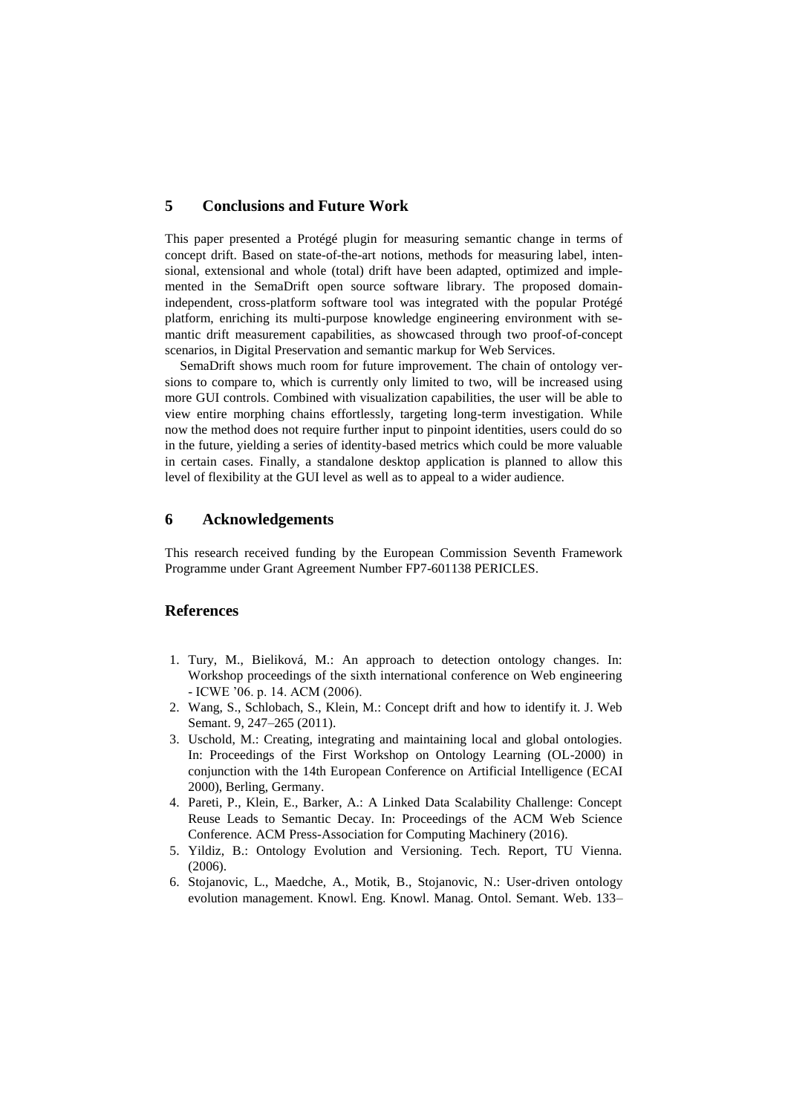## **5 Conclusions and Future Work**

This paper presented a Protégé plugin for measuring semantic change in terms of concept drift. Based on state-of-the-art notions, methods for measuring label, intensional, extensional and whole (total) drift have been adapted, optimized and implemented in the SemaDrift open source software library. The proposed domainindependent, cross-platform software tool was integrated with the popular Protégé platform, enriching its multi-purpose knowledge engineering environment with semantic drift measurement capabilities, as showcased through two proof-of-concept scenarios, in Digital Preservation and semantic markup for Web Services.

SemaDrift shows much room for future improvement. The chain of ontology versions to compare to, which is currently only limited to two, will be increased using more GUI controls. Combined with visualization capabilities, the user will be able to view entire morphing chains effortlessly, targeting long-term investigation. While now the method does not require further input to pinpoint identities, users could do so in the future, yielding a series of identity-based metrics which could be more valuable in certain cases. Finally, a standalone desktop application is planned to allow this level of flexibility at the GUI level as well as to appeal to a wider audience.

## **6 Acknowledgements**

This research received funding by the European Commission Seventh Framework Programme under Grant Agreement Number FP7-601138 PERICLES.

#### **References**

- 1. Tury, M., Bieliková, M.: An approach to detection ontology changes. In: Workshop proceedings of the sixth international conference on Web engineering - ICWE '06. p. 14. ACM (2006).
- 2. Wang, S., Schlobach, S., Klein, M.: Concept drift and how to identify it. J. Web Semant. 9, 247–265 (2011).
- 3. Uschold, M.: Creating, integrating and maintaining local and global ontologies. In: Proceedings of the First Workshop on Ontology Learning (OL-2000) in conjunction with the 14th European Conference on Artificial Intelligence (ECAI 2000), Berling, Germany.
- 4. Pareti, P., Klein, E., Barker, A.: A Linked Data Scalability Challenge: Concept Reuse Leads to Semantic Decay. In: Proceedings of the ACM Web Science Conference. ACM Press-Association for Computing Machinery (2016).
- 5. Yildiz, B.: Ontology Evolution and Versioning. Tech. Report, TU Vienna. (2006).
- 6. Stojanovic, L., Maedche, A., Motik, B., Stojanovic, N.: User-driven ontology evolution management. Knowl. Eng. Knowl. Manag. Ontol. Semant. Web. 133–